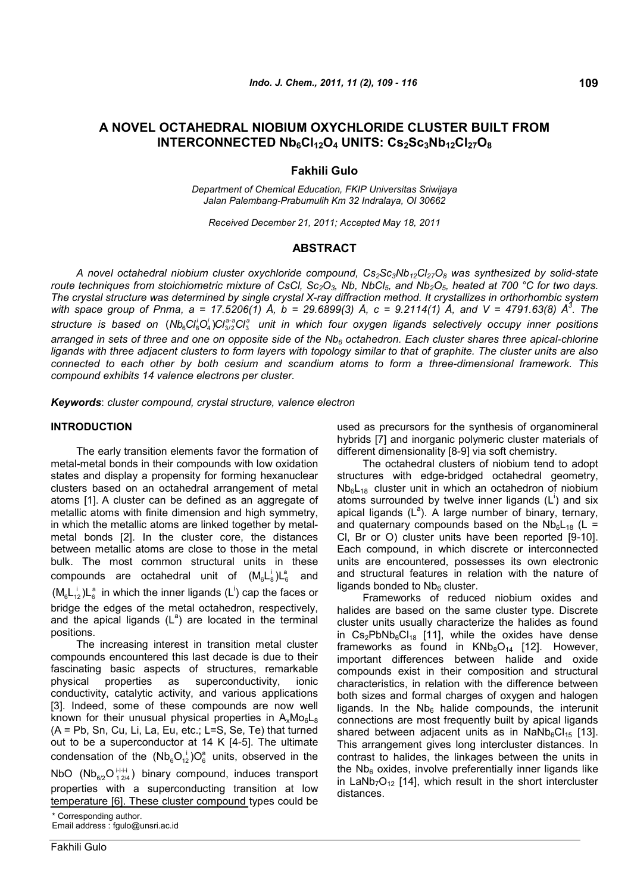# **A NOVEL OCTAHEDRAL NIOBIUM OXYCHLORIDE CLUSTER BUILT FROM INTERCONNECTED Nb6Cl12O<sup>4</sup> UNITS: Cs2Sc3Nb12Cl27O<sup>8</sup>**

## **Fakhili Gulo**

*Department of Chemical Education, FKIP Universitas Sriwijaya Jalan Palembang-Prabumulih Km 32 Indralaya, OI 30662*

*Received December 21, 2011; Accepted May 18, 2011*

## **ABSTRACT**

*A novel octahedral niobium cluster oxychloride compound, Cs2Sc3Nb12Cl27O<sup>8</sup> was synthesized by solid-state route techniques from stoichiometric mixture of CsCl, Sc2O3, Nb, NbCl5, and Nb2O5, heated at 700 °C for two days. The crystal structure was determined by single crystal X-ray diffraction method. It crystallizes in orthorhombic system with space group of Pnma, a = 17.5206(1) Å, b = 29.6899(3) Å, c = 9.2114(1) Å, and V = 4791.63(8) Å<sup>3</sup> . The* structure is based on  $(Nb_6C_8^lO_4^l)Cl_{3/2}^{a-a}Cl_3^a$  unit in which four oxygen ligands selectively occupy inner positions *arranged in sets of three and one on opposite side of the Nb<sup>6</sup> octahedron. Each cluster shares three apical-chlorine ligands with three adjacent clusters to form layers with topology similar to that of graphite. The cluster units are also connected to each other by both cesium and scandium atoms to form a three-dimensional framework. This compound exhibits 14 valence electrons per cluster.*

*Keywords*: *cluster compound, crystal structure, valence electron*

## **INTRODUCTION**

The early transition elements favor the formation of metal-metal bonds in their compounds with low oxidation states and display a propensity for forming hexanuclear clusters based on an octahedral arrangement of metal atoms [1]. A cluster can be defined as an aggregate of metallic atoms with finite dimension and high symmetry, in which the metallic atoms are linked together by metalmetal bonds [2]. In the cluster core, the distances between metallic atoms are close to those in the metal bulk. The most common structural units in these compounds are octahedral unit of  $(M_6L_8^i)L_6^a$  and  $(M_6L_{12}^{\perp})L_6^{\text{a}}$  in which the inner ligands (L<sup>i</sup>) cap the faces or bridge the edges of the metal octahedron, respectively, and the apical ligands  $(L^a)$  are located in the terminal positions.

The increasing interest in transition metal cluster compounds encountered this last decade is due to their fascinating basic aspects of structures, remarkable physical properties as superconductivity, ionic conductivity, catalytic activity, and various applications [3]. Indeed, some of these compounds are now well known for their unusual physical properties in  $A_xMO_6L_8$ (A = Pb, Sn, Cu, Li, La, Eu, etc.; L=S, Se, Te) that turned out to be a superconductor at 14 K [4-5]. The ultimate condensation of the  $(Nb_6O_1^{\text{I}})O_6^{\text{a}}$  units, observed in the NbO (Nb $_{6/2}$ O $_{12/4}^{+i+i}$ ) binary compound, induces transport properties with a superconducting transition at low temperature [6]. These cluster compound types could be

Fakhili Gulo

used as precursors for the synthesis of organomineral hybrids [7] and inorganic polymeric cluster materials of different dimensionality [8-9] via soft chemistry.

The octahedral clusters of niobium tend to adopt structures with edge-bridged octahedral geometry,  $Nb<sub>6</sub>L<sub>18</sub>$  cluster unit in which an octahedron of niobium atoms surrounded by twelve inner ligands  $(L^i)$  and six apical ligands  $(L^a)$ . A large number of binary, ternary, and quaternary compounds based on the  $Nb<sub>6</sub>L<sub>18</sub>$  (L = Cl, Br or O) cluster units have been reported [9-10]. Each compound, in which discrete or interconnected units are encountered, possesses its own electronic and structural features in relation with the nature of ligands bonded to  $Nb<sub>6</sub>$  cluster.

Frameworks of reduced niobium oxides and halides are based on the same cluster type. Discrete cluster units usually characterize the halides as found in  $Cs<sub>2</sub>PbNb<sub>6</sub>Cl<sub>18</sub>$  [11], while the oxides have dense frameworks as found in  $KNb_8O_{14}$  [12]. However, important differences between halide and oxide compounds exist in their composition and structural characteristics, in relation with the difference between both sizes and formal charges of oxygen and halogen ligands. In the  $Nb<sub>6</sub>$  halide compounds, the interunit connections are most frequently built by apical ligands shared between adjacent units as in  $NaNb<sub>6</sub>Cl<sub>15</sub>$  [13]. This arrangement gives long intercluster distances. In contrast to halides, the linkages between the units in the  $Nb<sub>6</sub>$  oxides, involve preferentially inner ligands like in LaNb<sub>7</sub>O<sub>12</sub> [14], which result in the short intercluster distances.

<sup>\*</sup> Corresponding author. Email address : fgulo@unsri.ac.id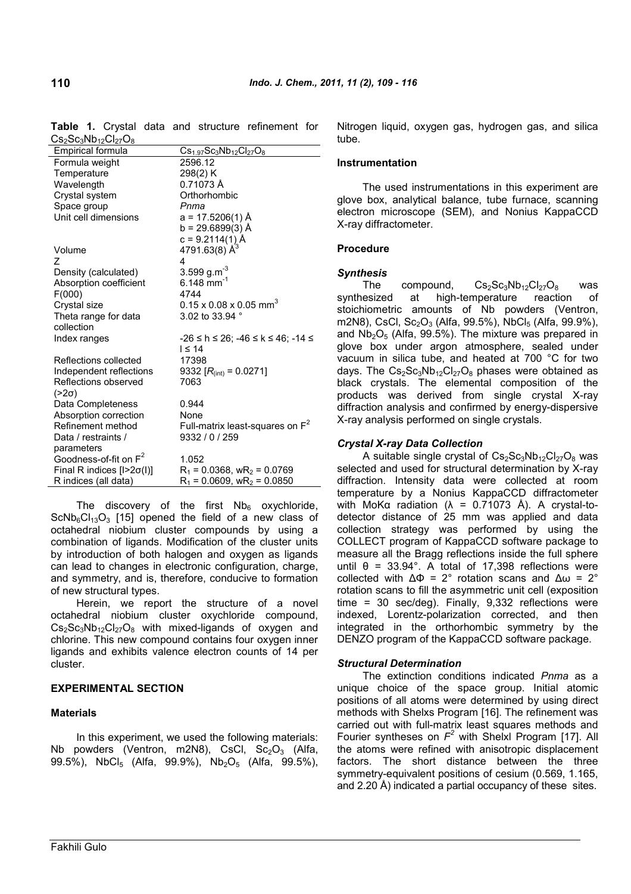| US2UU319D12U127U8                 |                                                     |
|-----------------------------------|-----------------------------------------------------|
| Empirical formula                 | $Cs1.97Sc3Nb12Cl27O8$                               |
| Formula weight                    | 2596.12                                             |
| Temperature                       | 298(2) K                                            |
| Wavelength                        | 0.71073 Å                                           |
| Crystal system                    | Orthorhombic                                        |
| Space group                       | Pnma                                                |
| Unit cell dimensions              | a = 17.5206(1) Å                                    |
|                                   | b = 29.6899(3) Å                                    |
|                                   | c = 9.2114(1) Å<br>4791.63(8) Å <sup>3</sup>        |
| Volume                            |                                                     |
| 7                                 | 4                                                   |
| Density (calculated)              | 3.599 g.m <sup>-3</sup>                             |
| Absorption coefficient            | 6.148 mm <sup>-1</sup>                              |
| F(000)                            | 4744                                                |
| Crystal size                      | $0.15 \times 0.08 \times 0.05$ mm <sup>3</sup>      |
| Theta range for data              | 3.02 to 33.94 °                                     |
| collection                        |                                                     |
| Index ranges                      | $-26 \le h \le 26$ ; $-46 \le k \le 46$ ; $-14 \le$ |
|                                   | $I \leq 14$                                         |
| Reflections collected             | 17398                                               |
| Independent reflections           | 9332 $[R_{\text{(int)}} = 0.0271]$                  |
| Reflections observed              | 7063                                                |
| $(>2\sigma)$                      |                                                     |
| Data Completeness                 | 0.944                                               |
| Absorption correction             | None                                                |
| Refinement method                 | Full-matrix least-squares on $F^2$                  |
| Data / restraints /               | 9332 / 0 / 259                                      |
| parameters                        |                                                     |
| Goodness-of-fit on F <sup>2</sup> | 1.052                                               |
| Final R indices $[1>2\sigma(1)]$  | $R_1$ = 0.0368, wR <sub>2</sub> = 0.0769            |
| R indices (all data)              | $R_1$ = 0.0609, wR <sub>2</sub> = 0.0850            |

**Table 1.** Crystal data and structure refinement for  $C_5$   $C_6$   $Nb$   $C_1$   $O$ 

The discovery of the first  $Nb<sub>6</sub>$  oxychloride,  $ScNb<sub>6</sub>Cl<sub>13</sub>O<sub>3</sub>$  [15] opened the field of a new class of octahedral niobium cluster compounds by using a combination of ligands. Modification of the cluster units by introduction of both halogen and oxygen as ligands can lead to changes in electronic configuration, charge, and symmetry, and is, therefore, conducive to formation of new structural types.

Herein, we report the structure of a novel octahedral niobium cluster oxychloride compound,  $Cs<sub>2</sub>Sc<sub>3</sub>Nb<sub>12</sub>Cl<sub>27</sub>O<sub>8</sub>$  with mixed-ligands of oxygen and chlorine. This new compound contains four oxygen inner ligands and exhibits valence electron counts of 14 per cluster.

### **EXPERIMENTAL SECTION**

### **Materials**

In this experiment, we used the following materials: Nb powders (Ventron, m2N8), CsCl,  $Sc_2O_3$  (Alfa, 99.5%), NbCl<sub>5</sub> (Alfa, 99.9%), Nb<sub>2</sub>O<sub>5</sub> (Alfa, 99.5%), Nitrogen liquid, oxygen gas, hydrogen gas, and silica tube.

#### **Instrumentation**

The used instrumentations in this experiment are glove box, analytical balance, tube furnace, scanning electron microscope (SEM), and Nonius KappaCCD X-ray diffractometer.

### **Procedure**

### *Synthesis*

The compound,  $Cs_2Sc_3Nb_{12}Cl_{27}O_8$  was synthesized at high-temperature reaction of stoichiometric amounts of Nb powders (Ventron, m2N8), CsCl, Sc<sub>2</sub>O<sub>3</sub> (Alfa, 99.5%), NbCl<sub>5</sub> (Alfa, 99.9%), and  $Nb<sub>2</sub>O<sub>5</sub>$  (Alfa, 99.5%). The mixture was prepared in glove box under argon atmosphere, sealed under vacuum in silica tube, and heated at 700 °C for two days. The  $Cs_2Sc_3Nb_{12}Cl_{27}O_8$  phases were obtained as black crystals. The elemental composition of the products was derived from single crystal X-ray diffraction analysis and confirmed by energy-dispersive X-ray analysis performed on single crystals.

## *Crystal X-ray Data Collection*

A suitable single crystal of  $Cs_2Sc_3Nb_{12}Cl_{27}O_8$  was selected and used for structural determination by X-ray diffraction. Intensity data were collected at room temperature by a Nonius KappaCCD diffractometer with MoKα radiation ( $λ = 0.71073$  Å). A crystal-todetector distance of 25 mm was applied and data collection strategy was performed by using the COLLECT program of KappaCCD software package to measure all the Bragg reflections inside the full sphere until  $\theta$  = 33.94°. A total of 17,398 reflections were collected with  $ΔΦ = 2°$  rotation scans and  $Δω = 2°$ rotation scans to fill the asymmetric unit cell (exposition time = 30 sec/deg). Finally, 9,332 reflections were indexed, Lorentz-polarization corrected, and then integrated in the orthorhombic symmetry by the DENZO program of the KappaCCD software package.

### *Structural Determination*

The extinction conditions indicated *Pnma* as a unique choice of the space group. Initial atomic positions of all atoms were determined by using direct methods with Shelxs Program [16]. The refinement was carried out with full-matrix least squares methods and Fourier syntheses on *F <sup>2</sup>* with Shelxl Program [17]. All the atoms were refined with anisotropic displacement factors. The short distance between the three symmetry-equivalent positions of cesium (0.569, 1.165, and 2.20 Å) indicated a partial occupancy of these sites.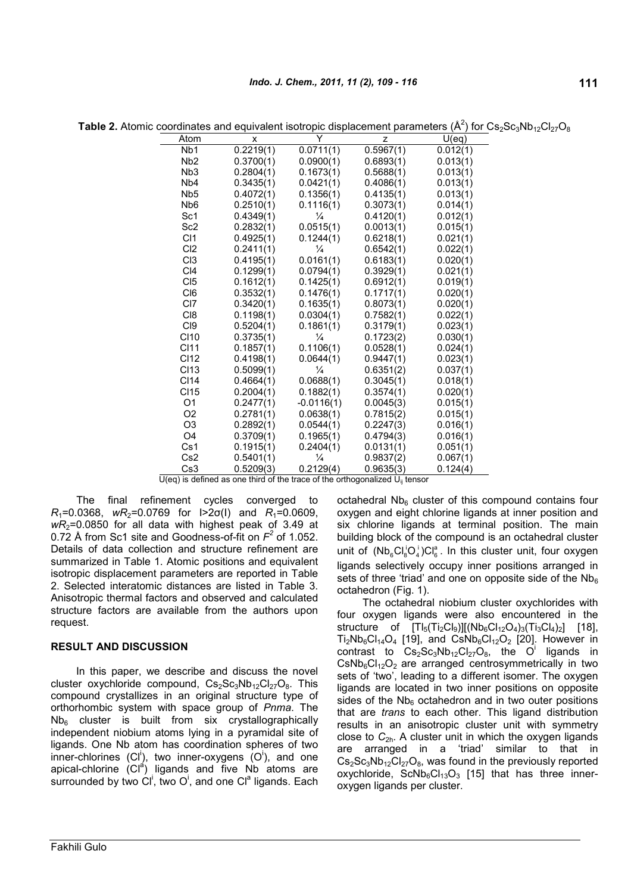| Atom             | x         | Y                      | z         | U(eq)    |
|------------------|-----------|------------------------|-----------|----------|
| Nb1              | 0.2219(1) | $\overline{0.0711(1)}$ | 0.5967(1) | 0.012(1) |
| N <sub>b</sub> 2 | 0.3700(1) | 0.0900(1)              | 0.6893(1) | 0.013(1) |
| N <sub>b</sub> 3 | 0.2804(1) | 0.1673(1)              | 0.5688(1) | 0.013(1) |
| N <sub>b</sub> 4 | 0.3435(1) | 0.0421(1)              | 0.4086(1) | 0.013(1) |
| Nb <sub>5</sub>  | 0.4072(1) | 0.1356(1)              | 0.4135(1) | 0.013(1) |
| N <sub>b</sub> 6 | 0.2510(1) | 0.1116(1)              | 0.3073(1) | 0.014(1) |
| Sc <sub>1</sub>  | 0.4349(1) | $\frac{1}{4}$          | 0.4120(1) | 0.012(1) |
| Sc <sub>2</sub>  | 0.2832(1) | 0.0515(1)              | 0.0013(1) | 0.015(1) |
| C <sub>11</sub>  | 0.4925(1) | 0.1244(1)              | 0.6218(1) | 0.021(1) |
| CI <sub>2</sub>  | 0.2411(1) | $\frac{1}{4}$          | 0.6542(1) | 0.022(1) |
| CI <sub>3</sub>  | 0.4195(1) | 0.0161(1)              | 0.6183(1) | 0.020(1) |
| C <sub>14</sub>  | 0.1299(1) | 0.0794(1)              | 0.3929(1) | 0.021(1) |
| CI5              | 0.1612(1) | 0.1425(1)              | 0.6912(1) | 0.019(1) |
| CI <sub>6</sub>  | 0.3532(1) | 0.1476(1)              | 0.1717(1) | 0.020(1) |
| C <sub>17</sub>  | 0.3420(1) | 0.1635(1)              | 0.8073(1) | 0.020(1) |
| CI <sub>8</sub>  | 0.1198(1) | 0.0304(1)              | 0.7582(1) | 0.022(1) |
| CI <sub>9</sub>  | 0.5204(1) | 0.1861(1)              | 0.3179(1) | 0.023(1) |
| CI10             | 0.3735(1) | $\frac{1}{4}$          | 0.1723(2) | 0.030(1) |
| <b>CI11</b>      | 0.1857(1) | 0.1106(1)              | 0.0528(1) | 0.024(1) |
| <b>CI12</b>      | 0.4198(1) | 0.0644(1)              | 0.9447(1) | 0.023(1) |
| <b>CI13</b>      | 0.5099(1) | $\frac{1}{4}$          | 0.6351(2) | 0.037(1) |
| <b>CI14</b>      | 0.4664(1) | 0.0688(1)              | 0.3045(1) | 0.018(1) |
| <b>CI15</b>      | 0.2004(1) | 0.1882(1)              | 0.3574(1) | 0.020(1) |
| O <sub>1</sub>   | 0.2477(1) | $-0.0116(1)$           | 0.0045(3) | 0.015(1) |
| O <sub>2</sub>   | 0.2781(1) | 0.0638(1)              | 0.7815(2) | 0.015(1) |
| O <sub>3</sub>   | 0.2892(1) | 0.0544(1)              | 0.2247(3) | 0.016(1) |
| O <sub>4</sub>   | 0.3709(1) | 0.1965(1)              | 0.4794(3) | 0.016(1) |
| Cs1              | 0.1915(1) | 0.2404(1)              | 0.0131(1) | 0.051(1) |
| Cs2              | 0.5401(1) | $\frac{1}{4}$          | 0.9837(2) | 0.067(1) |
| Cs3              | 0.5209(3) | 0.2129(4)              | 0.9635(3) | 0.124(4) |

**Table 2.** Atomic coordinates and equivalent isotropic displacement parameters  $(A^2)$  for Cs<sub>2</sub>Sc<sub>3</sub>Nb<sub>12</sub>Cl<sub>27</sub>O<sub>8</sub>

 $U(eq)$  is defined as one third of the trace of the orthogonalized  $U_{ii}$  tensor

The final refinement cycles converged to *R*<sub>1</sub>=0.0368, *wR*<sub>2</sub>=0.0769 for  $|>2σ(1)$  and *R*<sub>1</sub>=0.0609, *wR*2=0.0850 for all data with highest peak of 3.49 at 0.72 Å from Sc1 site and Goodness-of-fit on  $F^2$  of 1.052. Details of data collection and structure refinement are summarized in Table 1. Atomic positions and equivalent isotropic displacement parameters are reported in Table 2. Selected interatomic distances are listed in Table 3. Anisotropic thermal factors and observed and calculated structure factors are available from the authors upon request.

### **RESULT AND DISCUSSION**

In this paper, we describe and discuss the novel cluster oxychloride compound,  $Cs_2Sc_3Nb_{12}Cl_{27}O_8$ . This compound crystallizes in an original structure type of orthorhombic system with space group of *Pnma*. The  $Nb<sub>6</sub>$  cluster is built from six crystallographically independent niobium atoms lying in a pyramidal site of ligands. One Nb atom has coordination spheres of two inner-chlorines (Cl<sup>i</sup>), two inner-oxygens  $(O<sup>i</sup>)$ , and one apical-chlorine  $|CI^{\hat{a}}|$  ligands and five Nb atoms are surrounded by two  $\overline{Cl}^i$ , two  $O^i$ , and one  $Cl^a$  ligands. Each

octahedral  $Nb<sub>6</sub>$  cluster of this compound contains four oxygen and eight chlorine ligands at inner position and six chlorine ligands at terminal position. The main building block of the compound is an octahedral cluster unit of  $(Nb_6Cl_8^iO_4^i)Cl_6^a$ . In this cluster unit, four oxygen ligands selectively occupy inner positions arranged in sets of three 'triad' and one on opposite side of the  $Nb<sub>6</sub>$ octahedron (Fig. 1).

The octahedral niobium cluster oxychlorides with four oxygen ligands were also encountered in the structure of  $[TI_5(TI_2Cl_9)][(Nb_6Cl_{12}O_4)_3(TI_3Cl_4)_2]$  [18],  $Ti_2Nb_6Cl_{14}O_4$  [19], and  $CsNb_6Cl_{12}O_2$  [20]. However in contrast to  $Cs_2Sc_3Nb_{12}Cl_{27}O_8$ , the O<sup>i</sup> ligands in  $CsNb<sub>6</sub>Cl<sub>12</sub>O<sub>2</sub>$  are arranged centrosymmetrically in two sets of 'two', leading to a different isomer. The oxygen ligands are located in two inner positions on opposite sides of the  $Nb<sub>6</sub>$  octahedron and in two outer positions that are *trans* to each other. This ligand distribution results in an anisotropic cluster unit with symmetry close to *C*2h. A cluster unit in which the oxygen ligands are arranged in a 'triad' similar to that in  $Cs<sub>2</sub>Sc<sub>3</sub>Nb<sub>12</sub>Cl<sub>27</sub>O<sub>8</sub>$ , was found in the previously reported oxychloride,  $ScNb<sub>6</sub>Cl<sub>13</sub>O<sub>3</sub>$  [15] that has three inneroxygen ligands per cluster.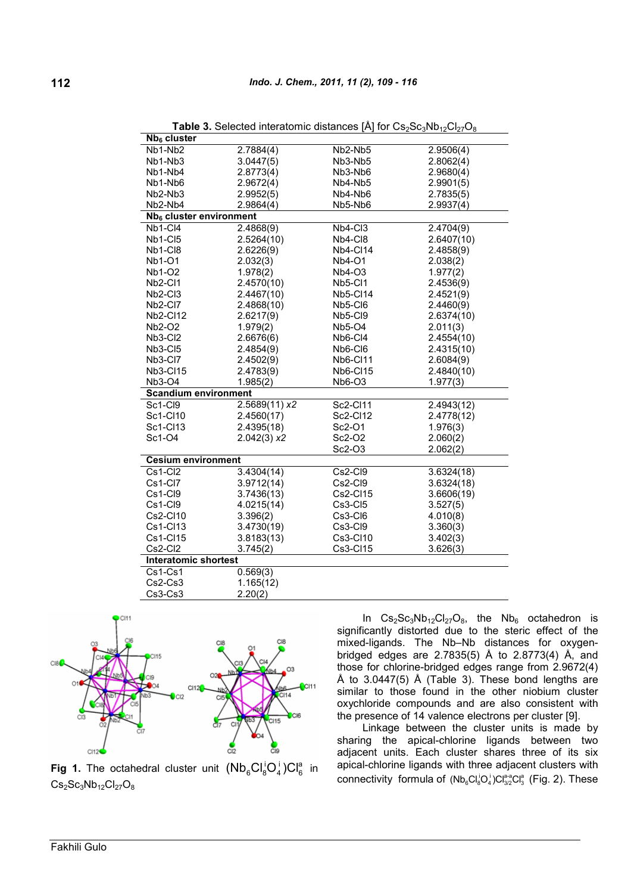| Nb <sub>6</sub> cluster             |              |                 |            |
|-------------------------------------|--------------|-----------------|------------|
| Nb1-Nb2                             | 2.7884(4)    | Nb2-Nb5         | 2.9506(4)  |
| Nb1-Nb3                             | 3.0447(5)    | Nb3-Nb5         | 2.8062(4)  |
| Nb1-Nb4                             | 2.8773(4)    | Nb3-Nb6         | 2.9680(4)  |
| Nb1-Nb6                             | 2.9672(4)    | Nb4-Nb5         | 2.9901(5)  |
| Nb <sub>2</sub> -Nb <sub>3</sub>    | 2.9952(5)    | Nb4-Nb6         | 2.7835(5)  |
| Nb2-Nb4                             | 2.9864(4)    | Nb5-Nb6         | 2.9937(4)  |
| Nb <sub>6</sub> cluster environment |              |                 |            |
| Nb1-Cl4                             | 2.4868(9)    | Nb4-Cl3         | 2.4704(9)  |
| Nb1-CI5                             | 2.5264(10)   | Nb4-Cl8         | 2.6407(10) |
| Nb1-Cl8                             | 2.6226(9)    | <b>Nb4-Cl14</b> | 2.4858(9)  |
| Nb1-O1                              | 2.032(3)     | <b>Nb4-O1</b>   | 2.038(2)   |
| <b>Nb1-O2</b>                       | 1.978(2)     | Nb4-O3          | 1.977(2)   |
| Nb2-Cl1                             | 2.4570(10)   | Nb5-Cl1         | 2.4536(9)  |
| Nb2-Cl3                             | 2.4467(10)   | <b>Nb5-Cl14</b> | 2.4521(9)  |
| Nb <sub>2</sub> -Cl <sub>7</sub>    | 2.4868(10)   | Nb5-Cl6         | 2.4460(9)  |
| <b>Nb2-Cl12</b>                     | 2.6217(9)    | Nb5-Cl9         | 2.6374(10) |
| <b>Nb2-O2</b>                       | 1.979(2)     | Nb5-O4          | 2.011(3)   |
| Nb3-Cl2                             | 2.6676(6)    | Nb6-Cl4         | 2.4554(10) |
| Nb3-CI5                             | 2.4854(9)    | Nb6-Cl6         | 2.4315(10) |
| Nb3-Cl7                             | 2.4502(9)    | <b>Nb6-Cl11</b> | 2.6084(9)  |
| <b>Nb3-Cl15</b>                     | 2.4783(9)    | <b>Nb6-Cl15</b> | 2.4840(10) |
| <b>Nb3-O4</b>                       | 1.985(2)     | <b>Nb6-O3</b>   | 1.977(3)   |
| <b>Scandium environment</b>         |              |                 |            |
| Sc1-Cl9                             | 2.5689(11)x2 | Sc2-Cl11        | 2.4943(12) |
| Sc1-Cl10                            | 2.4560(17)   | Sc2-Cl12        | 2.4778(12) |
| Sc1-Cl13                            | 2.4395(18)   | Sc2-O1          | 1.976(3)   |
| Sc1-O4                              | 2.042(3) x2  | Sc2-O2          | 2.060(2)   |
|                                     |              | Sc2-O3          | 2.062(2)   |
| <b>Cesium environment</b>           |              |                 |            |
| Cs1-Cl2                             | 3.4304(14)   | Cs2-Cl9         | 3.6324(18) |
| Cs1-Cl7                             | 3.9712(14)   | Cs2-Cl9         | 3.6324(18) |
| Cs1-Cl9                             | 3.7436(13)   | Cs2-Cl15        | 3.6606(19) |
| Cs1-Cl9                             | 4.0215(14)   | $Cs3-CI5$       | 3.527(5)   |
| Cs2-Cl10                            | 3.396(2)     | Cs3-Cl6         | 4.010(8)   |
| Cs1-Cl13                            | 3.4730(19)   | Cs3-Cl9         | 3.360(3)   |
| Cs1-Cl15                            | 3.8183(13)   | Cs3-Cl10        | 3.402(3)   |
| Cs2-Cl2                             | 3.745(2)     | Cs3-Cl15        | 3.626(3)   |
| <b>Interatomic shortest</b>         |              |                 |            |
| $Cs1-Cs1$                           | 0.569(3)     |                 |            |
| $Cs2-Cs3$                           | 1.165(12)    |                 |            |
| $Cs3-Cs3$                           | 2.20(2)      |                 |            |

**Table 3.** Selected interatomic distances  $[A]$  for  $Cs_2Sc_3Nb_{12}Cl_{27}O_8$ 



**Fig 1.** The octahedral cluster unit  $(Nb_6Cl_8^iO_4^i)Cl_6^a$ i 4 i  $(Nb_6Cl_8^1O_4^1)Cl_6^a$  in  $Cs_2Sc_3Nb_{12}Cl_{27}O_8$ 

In  $Cs_2Sc_3Nb_{12}Cl_{27}O_8$ , the  $Nb_6$  octahedron is significantly distorted due to the steric effect of the mixed-ligands. The Nb–Nb distances for oxygenbridged edges are 2.7835(5)  $\AA$  to 2.8773(4)  $\AA$ , and those for chlorine-bridged edges range from 2.9672(4) Å to 3.0447(5) Å (Table 3). These bond lengths are similar to those found in the other niobium cluster oxychloride compounds and are also consistent with the presence of 14 valence electrons per cluster [9].

Linkage between the cluster units is made by sharing the apical-chlorine ligands between two adjacent units. Each cluster shares three of its six apical-chlorine ligands with three adjacent clusters with connectivity formula of  $(Nb_6Cl_8^1O_4^1)Cl_{3/2}^{a\cdot a}Cl_3^a$  (Fig. 2). These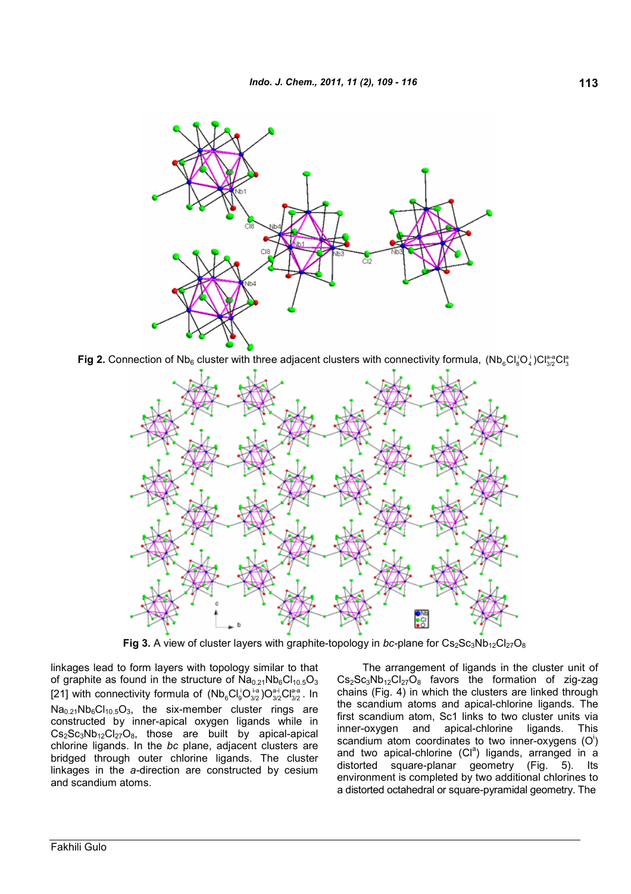

**Fig 2.** Connection of Nb<sub>6</sub> cluster with three adjacent clusters with connectivity formula,  $(Nb_6Cl_8^iO_4^i)Cl_{3/2}^{a-a}Cl_3^a$ 



**Fig 3.** A view of cluster layers with graphite-topology in *bc*-plane for  $Cs_2Sc_3Nb_{12}Cl_{27}O_8$ 

linkages lead to form layers with topology similar to that of graphite as found in the structure of  $\text{Na}_{0.21}\text{Nb}_{6}\text{Cl}_{10.5}\text{O}_{3}$ [21] with connectivity formula of  $(Nb_6Cl_9^lO_{3/2}^{1-a}O_{3/2}^{a-i}Cl_{3/2}^{a-a}$ . In  $Na<sub>0.21</sub>Nb<sub>6</sub>Cl<sub>10.5</sub>O<sub>3</sub>$ , the six-member cluster rings are constructed by inner-apical oxygen ligands while in  $Cs_2Sc_3Nb_{12}Cl_{27}O_8$ , those are built by apical-apical chlorine ligands. In the *bc* plane, adjacent clusters are bridged through outer chlorine ligands. The cluster linkages in the *a-*direction are constructed by cesium and scandium atoms.

The arrangement of ligands in the cluster unit of  $Cs_2Sc_3Nb_{12}Cl_{27}O_8$  favors the formation of zig-zag chains (Fig. 4) in which the clusters are linked through the scandium atoms and apical-chlorine ligands. The first scandium atom, Sc1 links to two cluster units via inner-oxygen and apical-chlorine ligands. This scandium atom coordinates to two inner-oxygens  $(O<sup>i</sup>)$ and two apical-chlorine  $(Cl^a)$  ligands, arranged in a distorted square-planar geometry (Fig. 5). Its environment is completed by two additional chlorines to a distorted octahedral or square-pyramidal geometry. The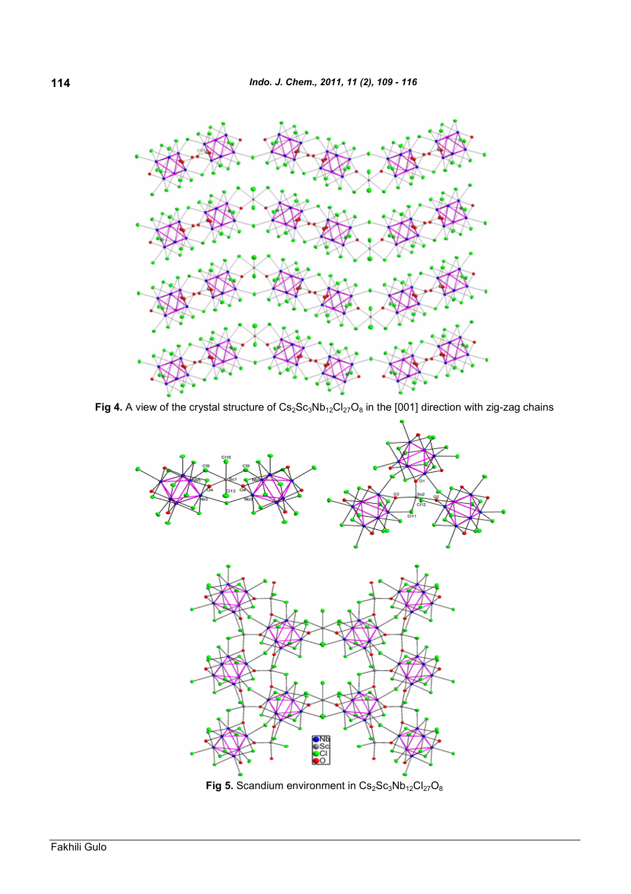

Fig 4. A view of the crystal structure of  $Cs_2Sc_3Nb_{12}Cl_{27}O_8$  in the [001] direction with zig-zag chains



**Fig 5.** Scandium environment in  $Cs<sub>2</sub>Sc<sub>3</sub>Nb<sub>12</sub>Cl<sub>27</sub>O<sub>8</sub>$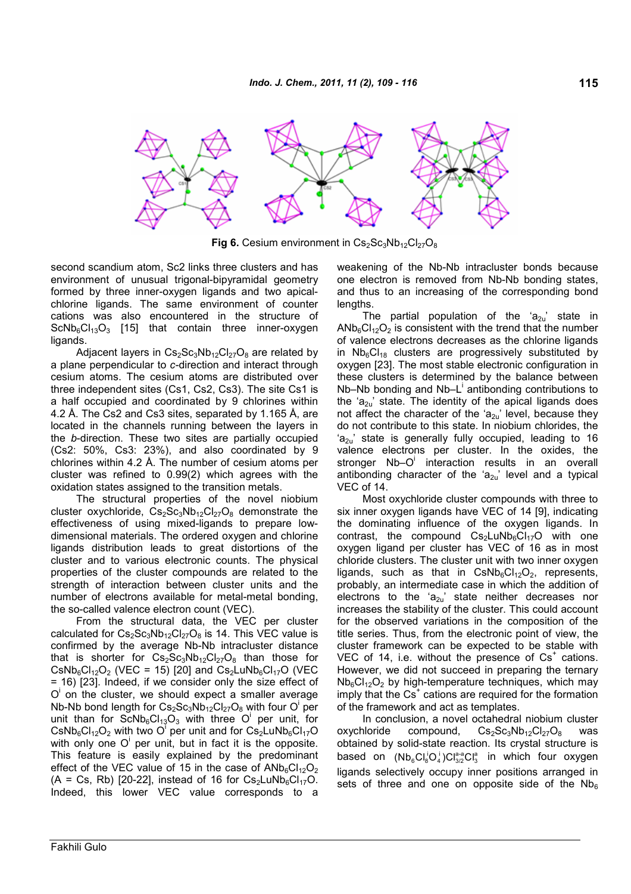

**Fig 6.** Cesium environment in  $Cs_2Sc_3Nb_{12}Cl_{27}O_8$ 

second scandium atom, Sc2 links three clusters and has environment of unusual trigonal-bipyramidal geometry formed by three inner-oxygen ligands and two apicalchlorine ligands. The same environment of counter cations was also encountered in the structure of  $ScNb<sub>6</sub>Cl<sub>13</sub>O<sub>3</sub>$  [15] that contain three inner-oxygen ligands.

Adjacent layers in  $Cs_2Sc_3Nb_{12}Cl_{27}O_8$  are related by a plane perpendicular to *c-*direction and interact through cesium atoms. The cesium atoms are distributed over three independent sites (Cs1, Cs2, Cs3). The site Cs1 is a half occupied and coordinated by 9 chlorines within 4.2 Å. The Cs2 and Cs3 sites, separated by 1.165 Å, are located in the channels running between the layers in the *b*-direction. These two sites are partially occupied (Cs2: 50%, Cs3: 23%), and also coordinated by 9 chlorines within 4.2 Å. The number of cesium atoms per cluster was refined to 0.99(2) which agrees with the oxidation states assigned to the transition metals.

The structural properties of the novel niobium cluster oxychloride,  $Cs_2Sc_3Nb_{12}Cl_{27}O_8$  demonstrate the effectiveness of using mixed-ligands to prepare lowdimensional materials. The ordered oxygen and chlorine ligands distribution leads to great distortions of the cluster and to various electronic counts. The physical properties of the cluster compounds are related to the strength of interaction between cluster units and the number of electrons available for metal-metal bonding, the so-called valence electron count (VEC).

From the structural data, the VEC per cluster calculated for  $Cs_2Sc_3Nb_{12}Cl_{27}O_8$  is 14. This VEC value is confirmed by the average Nb-Nb intracluster distance that is shorter for  $Cs_2Sc_3Nb_{12}Cl_{27}O_8$  than those for  $\text{CsNb}_6\text{Cl}_{12}\text{O}_2$  (VEC = 15) [20] and  $\text{Cs}_2\text{LuNb}_6\text{Cl}_{17}\text{O}$  (VEC = 16) [23]. Indeed, if we consider only the size effect of O<sup>i</sup> on the cluster, we should expect a smaller average Nb-Nb bond length for  $Cs_2Sc_3Nb_{12}Cl_{27}O_8$  with four O<sup>i</sup> per unit than for  $ScNb_6Cl_{13}O_3$  with three O<sup>i</sup> per unit, for  $\text{CsNb}_6\text{Cl}_{12}\text{O}_2$  with two O<sup>T</sup> per unit and for  $\text{Cs}_2\text{LuNb}_6\text{Cl}_{17}\text{O}$ with only one  $O<sup>i</sup>$  per unit, but in fact it is the opposite. This feature is easily explained by the predominant effect of the VEC value of 15 in the case of  $AND_6CI_{12}O_2$ (A = Cs, Rb) [20-22], instead of 16 for  $Cs<sub>2</sub>LuNb<sub>6</sub>Cl<sub>17</sub>O$ . Indeed, this lower VEC value corresponds to a

weakening of the Nb-Nb intracluster bonds because one electron is removed from Nb-Nb bonding states, and thus to an increasing of the corresponding bond lengths.

The partial population of the ' $a_{2u}$ ' state in  $AND<sub>6</sub>Cl<sub>12</sub>O<sub>2</sub>$  is consistent with the trend that the number of valence electrons decreases as the chlorine ligands in  $Nb_6Cl_{18}$  clusters are progressively substituted by oxygen [23]. The most stable electronic configuration in these clusters is determined by the balance between  $Nb-Nb$  bonding and  $Nb-L^{\dagger}$  antibonding contributions to the ' $a_{2u}$ ' state. The identity of the apical ligands does not affect the character of the 'a<sub>2u</sub>' level, because they do not contribute to this state. In niobium chlorides, the  $a_{21}$  state is generally fully occupied, leading to 16 valence electrons per cluster. In the oxides, the stronger Nb-O<sup>i</sup> interaction results in an overall antibonding character of the ' $a_{2u}$ ' level and a typical VEC of 14.

Most oxychloride cluster compounds with three to six inner oxygen ligands have VEC of 14 [9], indicating the dominating influence of the oxygen ligands. In contrast, the compound  $Cs<sub>2</sub>LuNb<sub>6</sub>Cl<sub>17</sub>O$  with one oxygen ligand per cluster has VEC of 16 as in most chloride clusters. The cluster unit with two inner oxygen ligands, such as that in  $CsNb<sub>6</sub>Cl<sub>12</sub>O<sub>2</sub>$ , represents, probably, an intermediate case in which the addition of electrons to the ' $a_{2u}$ ' state neither decreases nor increases the stability of the cluster. This could account for the observed variations in the composition of the title series. Thus, from the electronic point of view, the cluster framework can be expected to be stable with VEC of 14, i.e. without the presence of  $Cs<sup>+</sup>$  cations. However, we did not succeed in preparing the ternary  $Nb<sub>6</sub>Cl<sub>12</sub>O<sub>2</sub>$  by high-temperature techniques, which may imply that the Cs<sup>+</sup> cations are required for the formation of the framework and act as templates.

In conclusion, a novel octahedral niobium cluster oxychloride compound,  $Cs_2Sc_3Nb_{12}Cl_{27}O_8$  was obtained by solid-state reaction. Its crystal structure is based on  $(Nb_6Cl_8^iO_4^i)Cl_{3/2}^{a-a}Cl_3^a$  in which four oxygen ligands selectively occupy inner positions arranged in sets of three and one on opposite side of the  $Nb<sub>6</sub>$